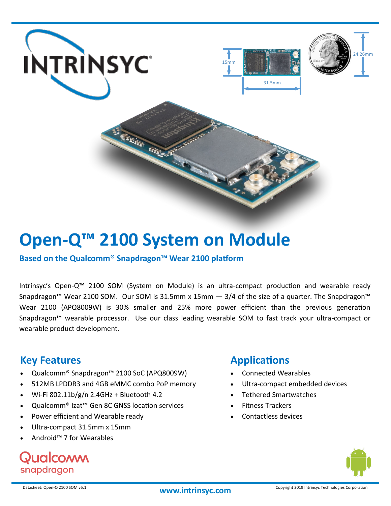

# **Open-Q™ 2100 System on Module**

**Based on the Qualcomm® Snapdragon™ Wear 2100 platform**

Intrinsyc's Open-Q™ 2100 SOM (System on Module) is an ultra-compact production and wearable ready Snapdragon™ Wear 2100 SOM. Our SOM is 31.5mm x 15mm - 3/4 of the size of a quarter. The Snapdragon™ Wear 2100 (APQ8009W) is 30% smaller and 25% more power efficient than the previous generation Snapdragon™ wearable processor. Use our class leading wearable SOM to fast track your ultra-compact or wearable product development.

### **Key Features**

- Qualcomm® Snapdragon™ 2100 SoC (APQ8009W)
- 512MB LPDDR3 and 4GB eMMC combo PoP memory
- Wi-Fi 802.11b/g/n 2.4GHz + Bluetooth 4.2
- Qualcomm® Izat™ Gen 8C GNSS location services
- Power efficient and Wearable ready
- Ultra-compact 31.5mm x 15mm
- Android™ 7 for Wearables

## Qualcoww snapdragon

## **Applications**

- Connected Wearables
- Ultra-compact embedded devices
- Tethered Smartwatches
- Fitness Trackers
- Contactless devices